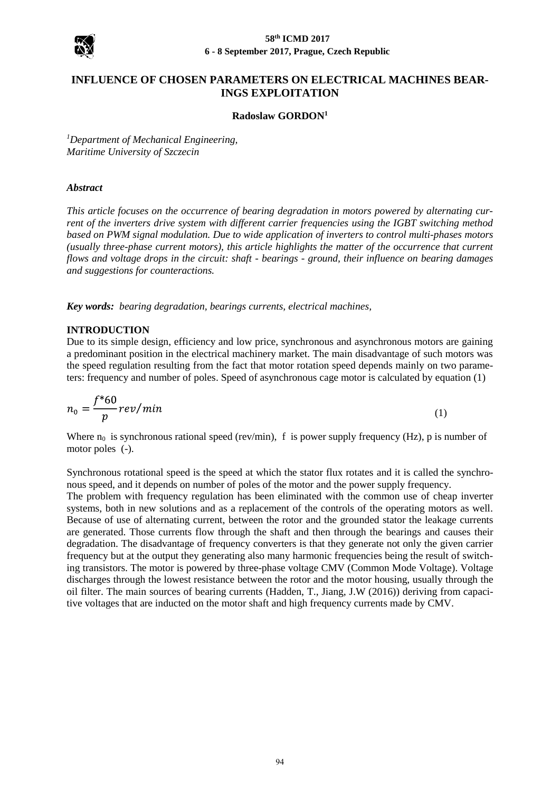

# **INFLUENCE OF CHOSEN PARAMETERS ON ELECTRICAL MACHINES BEAR-INGS EXPLOITATION**

#### **Radoslaw GORDON<sup>1</sup>**

*<sup>1</sup>Department of Mechanical Engineering, Maritime University of Szczecin*

#### *Abstract*

*This article focuses on the occurrence of bearing degradation in motors powered by alternating current of the inverters drive system with different carrier frequencies using the IGBT switching method based on PWM signal modulation. Due to wide application of inverters to control multi-phases motors (usually three-phase current motors), this article highlights the matter of the occurrence that current flows and voltage drops in the circuit: shaft - bearings - ground, their influence on bearing damages and suggestions for counteractions.* 

*Key words: bearing degradation, bearings currents, electrical machines,*

#### **INTRODUCTION**

Due to its simple design, efficiency and low price, synchronous and asynchronous motors are gaining a predominant position in the electrical machinery market. The main disadvantage of such motors was the speed regulation resulting from the fact that motor rotation speed depends mainly on two parameters: frequency and number of poles. Speed of asynchronous cage motor is calculated by equation (1)

$$
n_0 = \frac{f^*60}{p}rev/min
$$
 (1)

Where  $n_0$  is synchronous rational speed (rev/min), f is power supply frequency (Hz), p is number of motor poles (-).

Synchronous rotational speed is the speed at which the stator flux rotates and it is called the synchronous speed, and it depends on number of poles of the motor and the power supply frequency.

The problem with frequency regulation has been eliminated with the common use of cheap inverter systems, both in new solutions and as a replacement of the controls of the operating motors as well. Because of use of alternating current, between the rotor and the grounded stator the leakage currents are generated. Those currents flow through the shaft and then through the bearings and causes their degradation. The disadvantage of frequency converters is that they generate not only the given carrier frequency but at the output they generating also many harmonic frequencies being the result of switching transistors. The motor is powered by three-phase voltage CMV (Common Mode Voltage). Voltage discharges through the lowest resistance between the rotor and the motor housing, usually through the oil filter. The main sources of bearing currents (Hadden, T., Jiang, J.W (2016)) deriving from capacitive voltages that are inducted on the motor shaft and high frequency currents made by CMV.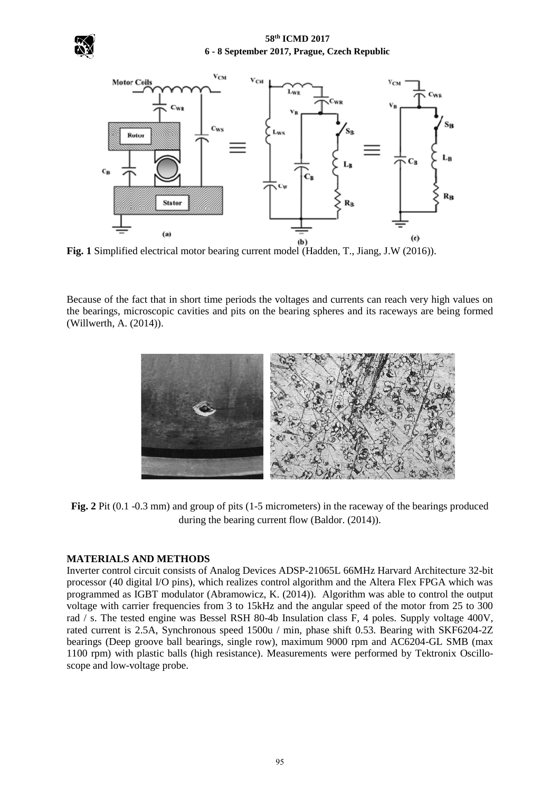### **58th ICMD 2017 6 - 8 September 2017, Prague, Czech Republic**





**Fig. 1** Simplified electrical motor bearing current model (Hadden, T., Jiang, J.W (2016)).

Because of the fact that in short time periods the voltages and currents can reach very high values on the bearings, microscopic cavities and pits on the bearing spheres and its raceways are being formed (Willwerth, A. (2014)).



**Fig. 2** Pit (0.1 -0.3 mm) and group of pits (1-5 micrometers) in the raceway of the bearings produced during the bearing current flow (Baldor. (2014)).

# **MATERIALS AND METHODS**

Inverter control circuit consists of Analog Devices ADSP-21065L 66MHz Harvard Architecture 32-bit processor (40 digital I/O pins), which realizes control algorithm and the Altera Flex FPGA which was programmed as IGBT modulator (Abramowicz, K. (2014)). Algorithm was able to control the output voltage with carrier frequencies from 3 to 15kHz and the angular speed of the motor from 25 to 300 rad / s. The tested engine was Bessel RSH 80-4b Insulation class F, 4 poles. Supply voltage 400V, rated current is 2.5A, Synchronous speed 1500u / min, phase shift 0.53. Bearing with SKF6204-2Z bearings (Deep groove ball bearings, single row), maximum 9000 rpm and AC6204-GL SMB (max 1100 rpm) with plastic balls (high resistance). Measurements were performed by Tektronix Oscilloscope and low-voltage probe.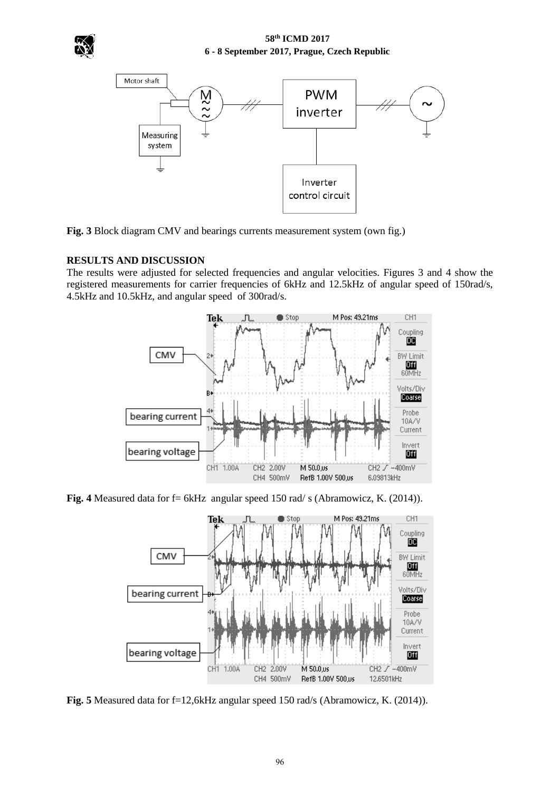



**Fig. 3** Block diagram CMV and bearings currents measurement system (own fig.)

# **RESULTS AND DISCUSSION**

The results were adjusted for selected frequencies and angular velocities. Figures 3 and 4 show the registered measurements for carrier frequencies of 6kHz and 12.5kHz of angular speed of 150rad/s, 4.5kHz and 10.5kHz, and angular speed of 300rad/s.



**Fig. 4** Measured data for f= 6kHz angular speed 150 rad/ s (Abramowicz, K. (2014)).



**Fig. 5** Measured data for f=12,6kHz angular speed 150 rad/s (Abramowicz, K. (2014)).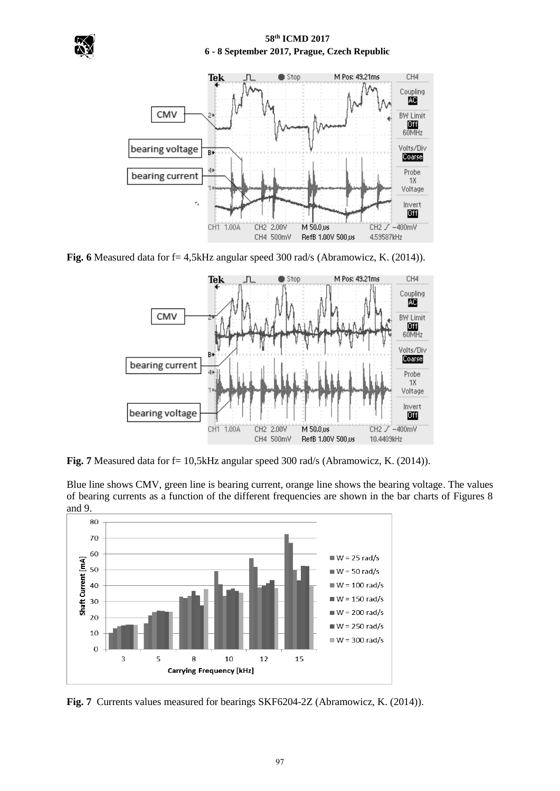



**Fig. 6** Measured data for f= 4,5kHz angular speed 300 rad/s (Abramowicz, K. (2014)).



Fig. 7 Measured data for f= 10,5kHz angular speed 300 rad/s (Abramowicz, K. (2014)).

Blue line shows CMV, green line is bearing current, orange line shows the bearing voltage. The values of bearing currents as a function of the different frequencies are shown in the bar charts of Figures 8 and 9.



**Fig. 7** Currents values measured for bearings SKF6204-2Z (Abramowicz, K. (2014)).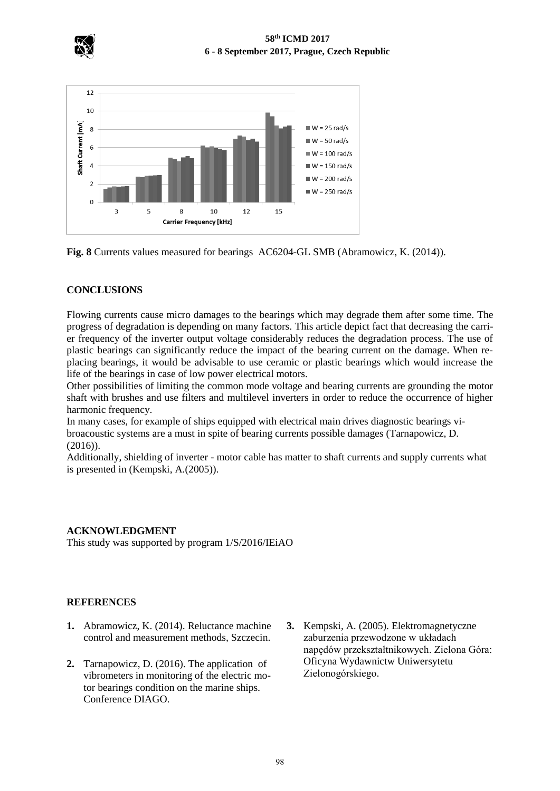

## **58th ICMD 2017 6 - 8 September 2017, Prague, Czech Republic**



**Fig. 8** Currents values measured for bearings AC6204-GL SMB (Abramowicz, K. (2014)).

## **CONCLUSIONS**

Flowing currents cause micro damages to the bearings which may degrade them after some time. The progress of degradation is depending on many factors. This article depict fact that decreasing the carrier frequency of the inverter output voltage considerably reduces the degradation process. The use of plastic bearings can significantly reduce the impact of the bearing current on the damage. When replacing bearings, it would be advisable to use ceramic or plastic bearings which would increase the life of the bearings in case of low power electrical motors.

Other possibilities of limiting the common mode voltage and bearing currents are grounding the motor shaft with brushes and use filters and multilevel inverters in order to reduce the occurrence of higher harmonic frequency.

In many cases, for example of ships equipped with electrical main drives diagnostic bearings vibroacoustic systems are a must in spite of bearing currents possible damages (Tarnapowicz, D.  $(2016)$ ).

Additionally, shielding of inverter - motor cable has matter to shaft currents and supply currents what is presented in (Kempski, A.(2005)).

### **ACKNOWLEDGMENT**

This study was supported by program 1/S/2016/IEiAO

### **REFERENCES**

- **1.** Abramowicz, K. (2014). Reluctance machine control and measurement methods*,* Szczecin.
- **2.** Tarnapowicz, D. (2016). The application of vibrometers in monitoring of the electric motor bearings condition on the marine ships. Conference DIAGO.
- **3.** Kempski, A. (2005). Elektromagnetyczne zaburzenia przewodzone w układach napędów przekształtnikowych. Zielona Góra: Oficyna Wydawnictw Uniwersytetu Zielonogórskiego.